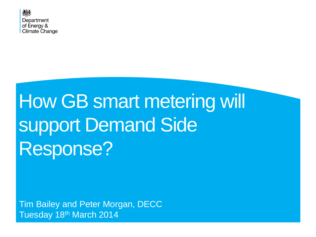

## **How GB smart metering will** support Demand Side Response?

Tim Bailey and Peter Morgan, DECC Tuesday 18th March 2014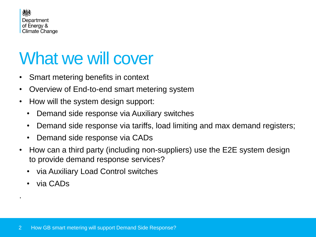

### What we will cover

- Smart metering benefits in context
- Overview of End-to-end smart metering system
- How will the system design support:
	- Demand side response via Auxiliary switches
	- Demand side response via tariffs, load limiting and max demand registers;
	- Demand side response via CADs
- How can a third party (including non-suppliers) use the E2E system design to provide demand response services?
	- via Auxiliary Load Control switches
	- via CADs

.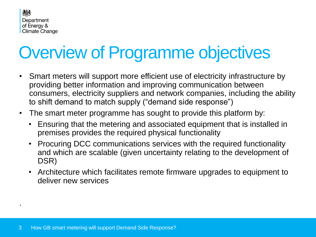

## Overview of Programme objectives

- Smart meters will support more efficient use of electricity infrastructure by providing better information and improving communication between consumers, electricity suppliers and network companies, including the ability to shift demand to match supply ("demand side response")
- The smart meter programme has sought to provide this platform by:
	- Ensuring that the metering and associated equipment that is installed in premises provides the required physical functionality
	- Procuring DCC communications services with the required functionality and which are scalable (given uncertainty relating to the development of DSR)
	- Architecture which facilitates remote firmware upgrades to equipment to deliver new services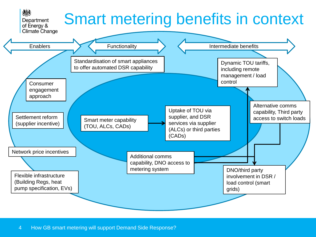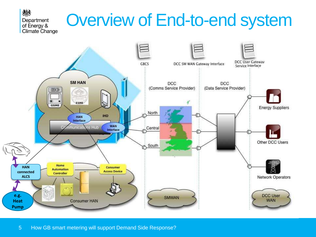## Overview of End-to-end system



機

Department of Energy &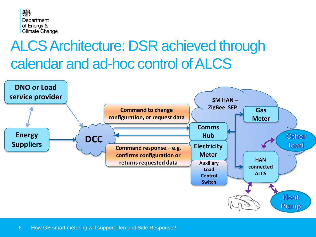

### ALCS Architecture: DSR achieved through calendar and ad-hoc control of ALCS

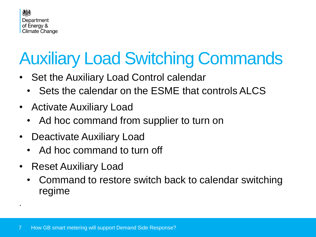

## Auxiliary Load Switching Commands

- Set the Auxiliary Load Control calendar
	- Sets the calendar on the ESME that controls ALCS
- Activate Auxiliary Load
	- Ad hoc command from supplier to turn on
- Deactivate Auxiliary Load
	- Ad hoc command to turn off
- Reset Auxiliary Load
	- Command to restore switch back to calendar switching regime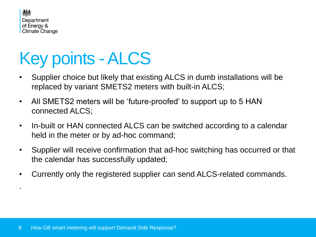

## Key points -ALCS

- Supplier choice but likely that existing ALCS in dumb installations will be replaced by variant SMETS2 meters with built-in ALCS;
- All SMETS2 meters will be 'future-proofed' to support up to 5 HAN connected ALCS;
- In-built or HAN connected ALCS can be switched according to a calendar held in the meter or by ad-hoc command;
- Supplier will receive confirmation that ad-hoc switching has occurred or that the calendar has successfully updated;
- Currently only the registered supplier can send ALCS-related commands.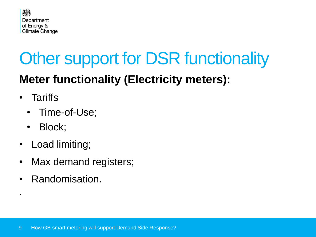

## **Other support for DSR functionality**

### **Meter functionality (Electricity meters):**

**Tariffs** 

.

- Time-of-Use;
- Block;
- Load limiting;
- Max demand registers;
- Randomisation.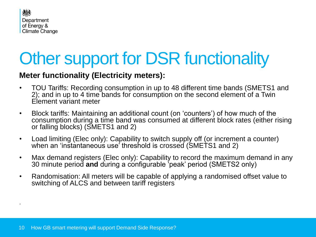

### **Other support for DSR functionality**

#### **Meter functionality (Electricity meters):**

- TOU Tariffs: Recording consumption in up to 48 different time bands (SMETS1 and 2); and in up to 4 time bands for consumption on the second element of a Twin Element variant meter
- Block tariffs: Maintaining an additional count (on 'counters') of how much of the consumption during a time band was consumed at different block rates (either rising or falling blocks) (SMETS1 and 2)
- Load limiting (Elec only): Capability to switch supply off (or increment a counter) when an 'instantaneous' use' threshold is crossed (SMETS1 and 2)
- Max demand registers (Elec only): Capability to record the maximum demand in any 30 minute period **and** during a configurable 'peak' period (SMETS2 only)
- Randomisation: All meters will be capable of applying a randomised offset value to switching of ALCS and between tariff registers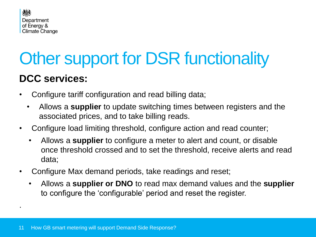

# Other support for DSR functionality

#### **DCC services:**

- Configure tariff configuration and read billing data;
	- Allows a **supplier** to update switching times between registers and the associated prices, and to take billing reads.
- Configure load limiting threshold, configure action and read counter;
	- Allows a **supplier** to configure a meter to alert and count, or disable once threshold crossed and to set the threshold, receive alerts and read data;
- Configure Max demand periods, take readings and reset;
	- Allows a **supplier or DNO** to read max demand values and the **supplier** to configure the 'configurable' period and reset the register.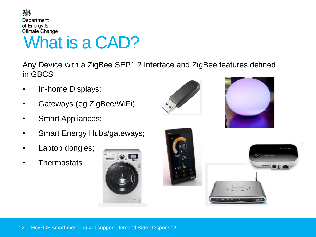

### What is a CAD?

Any Device with a ZigBee SEP1.2 Interface and ZigBee features defined in GBCS

- In-home Displays;
- Gateways (eg ZigBee/WiFi)
- Smart Appliances;
- Smart Energy Hubs/gateways;
- Laptop dongles;
- **Thermostats**







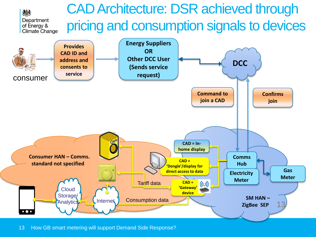

13 How GB smart metering will support Demand Side Response?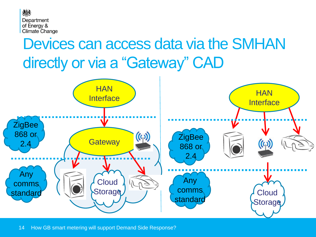

### Devices can access data via the SMHAN directly or via a "Gateway" CAD



14 How GB smart metering will support Demand Side Response?